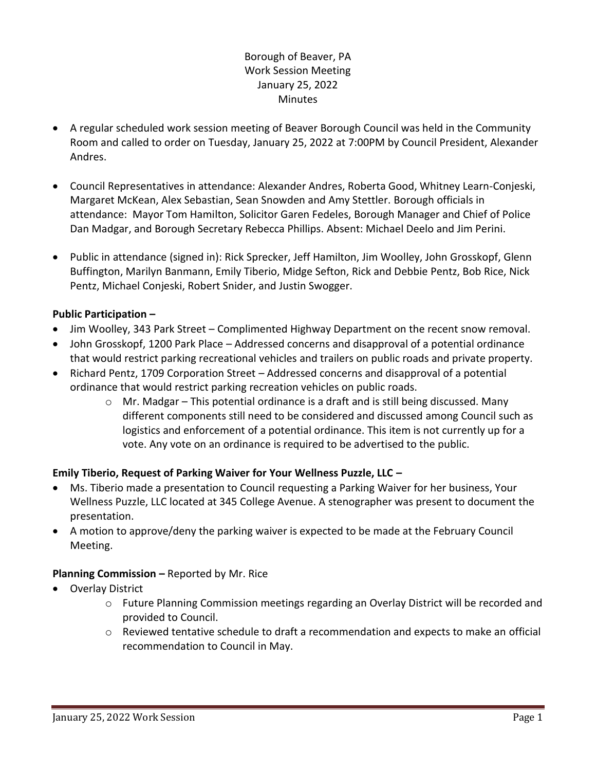# Borough of Beaver, PA Work Session Meeting January 25, 2022 Minutes

- A regular scheduled work session meeting of Beaver Borough Council was held in the Community Room and called to order on Tuesday, January 25, 2022 at 7:00PM by Council President, Alexander Andres.
- Council Representatives in attendance: Alexander Andres, Roberta Good, Whitney Learn-Conjeski, Margaret McKean, Alex Sebastian, Sean Snowden and Amy Stettler. Borough officials in attendance: Mayor Tom Hamilton, Solicitor Garen Fedeles, Borough Manager and Chief of Police Dan Madgar, and Borough Secretary Rebecca Phillips. Absent: Michael Deelo and Jim Perini.
- Public in attendance (signed in): Rick Sprecker, Jeff Hamilton, Jim Woolley, John Grosskopf, Glenn Buffington, Marilyn Banmann, Emily Tiberio, Midge Sefton, Rick and Debbie Pentz, Bob Rice, Nick Pentz, Michael Conjeski, Robert Snider, and Justin Swogger.

# **Public Participation –**

- Jim Woolley, 343 Park Street Complimented Highway Department on the recent snow removal.
- John Grosskopf, 1200 Park Place Addressed concerns and disapproval of a potential ordinance that would restrict parking recreational vehicles and trailers on public roads and private property.
- Richard Pentz, 1709 Corporation Street Addressed concerns and disapproval of a potential ordinance that would restrict parking recreation vehicles on public roads.
	- o Mr. Madgar This potential ordinance is a draft and is still being discussed. Many different components still need to be considered and discussed among Council such as logistics and enforcement of a potential ordinance. This item is not currently up for a vote. Any vote on an ordinance is required to be advertised to the public.

### **Emily Tiberio, Request of Parking Waiver for Your Wellness Puzzle, LLC –**

- Ms. Tiberio made a presentation to Council requesting a Parking Waiver for her business, Your Wellness Puzzle, LLC located at 345 College Avenue. A stenographer was present to document the presentation.
- A motion to approve/deny the parking waiver is expected to be made at the February Council Meeting.

### **Planning Commission –** Reported by Mr. Rice

- Overlay District
	- o Future Planning Commission meetings regarding an Overlay District will be recorded and provided to Council.
	- o Reviewed tentative schedule to draft a recommendation and expects to make an official recommendation to Council in May.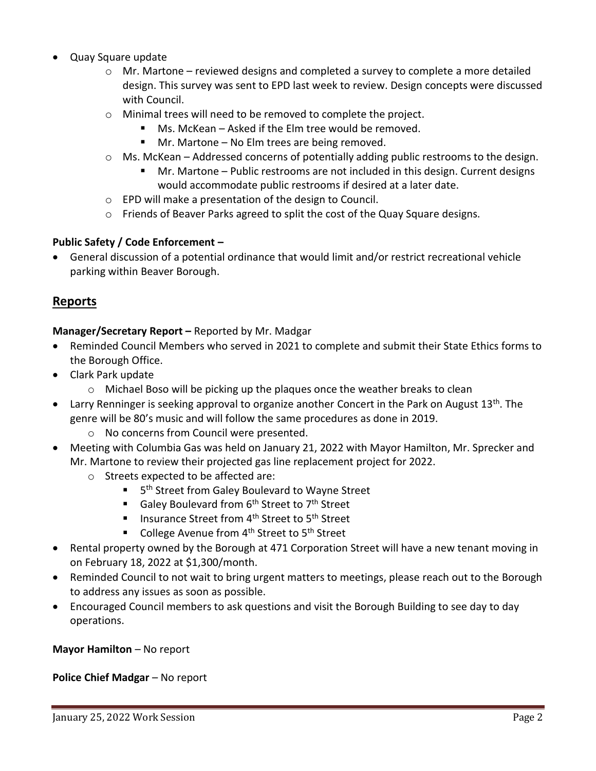- Quay Square update
	- $\circ$  Mr. Martone reviewed designs and completed a survey to complete a more detailed design. This survey was sent to EPD last week to review. Design concepts were discussed with Council.
	- o Minimal trees will need to be removed to complete the project.
		- Ms. McKean Asked if the Elm tree would be removed.
		- Mr. Martone No Elm trees are being removed.
	- $\circ$  Ms. McKean Addressed concerns of potentially adding public restrooms to the design.
		- Mr. Martone Public restrooms are not included in this design. Current designs would accommodate public restrooms if desired at a later date.
	- o EPD will make a presentation of the design to Council.
	- o Friends of Beaver Parks agreed to split the cost of the Quay Square designs.

#### **Public Safety / Code Enforcement –**

• General discussion of a potential ordinance that would limit and/or restrict recreational vehicle parking within Beaver Borough.

### **Reports**

#### **Manager/Secretary Report –** Reported by Mr. Madgar

- Reminded Council Members who served in 2021 to complete and submit their State Ethics forms to the Borough Office.
- Clark Park update
	- $\circ$  Michael Boso will be picking up the plaques once the weather breaks to clean
- Larry Renninger is seeking approval to organize another Concert in the Park on August 13<sup>th</sup>. The genre will be 80's music and will follow the same procedures as done in 2019.
	- o No concerns from Council were presented.
- Meeting with Columbia Gas was held on January 21, 2022 with Mayor Hamilton, Mr. Sprecker and Mr. Martone to review their projected gas line replacement project for 2022.
	- o Streets expected to be affected are:
		- 5<sup>th</sup> Street from Galey Boulevard to Wayne Street
		- Galey Boulevard from 6<sup>th</sup> Street to 7<sup>th</sup> Street
		- Insurance Street from 4<sup>th</sup> Street to 5<sup>th</sup> Street
		- College Avenue from 4<sup>th</sup> Street to 5<sup>th</sup> Street
- Rental property owned by the Borough at 471 Corporation Street will have a new tenant moving in on February 18, 2022 at \$1,300/month.
- Reminded Council to not wait to bring urgent matters to meetings, please reach out to the Borough to address any issues as soon as possible.
- Encouraged Council members to ask questions and visit the Borough Building to see day to day operations.

**Mayor Hamilton** – No report

**Police Chief Madgar** – No report